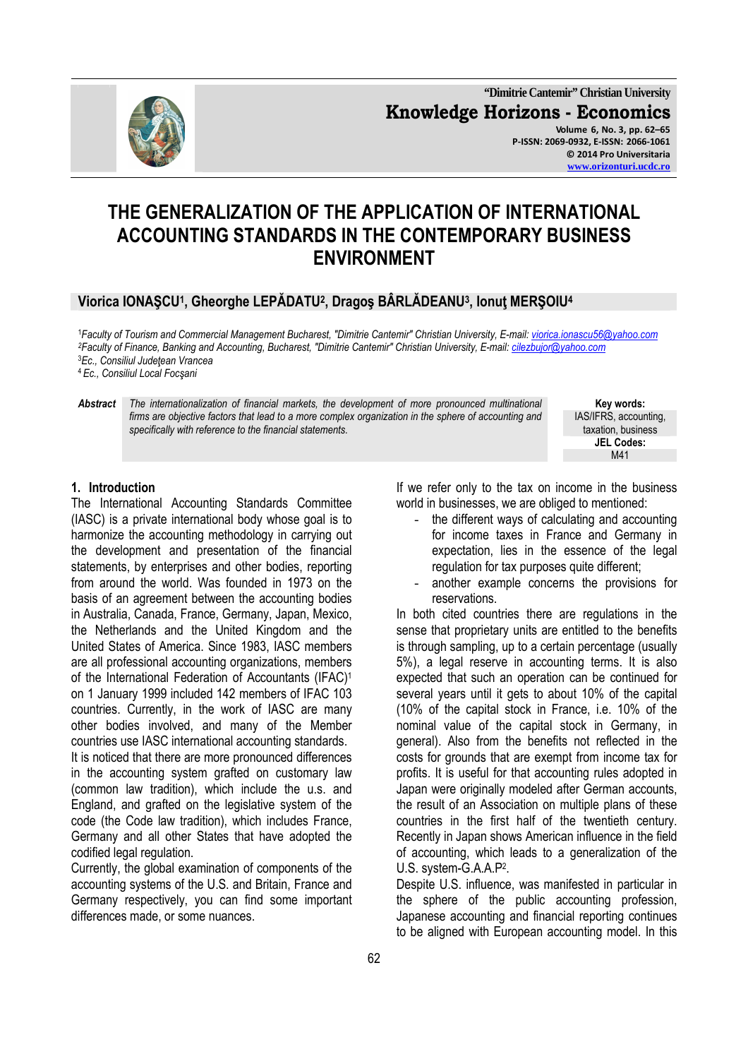

**"Dimitrie Cantemir" Christian University Knowledge Horizons - Economics Volume 6, No. 3, pp. 62–65 P-ISSN: 2069-0932, E-ISSN: 2066-1061 © 2014 Pro Universitaria www.orizonturi.ucdc.ro**

# **THE GENERALIZATION OF THE APPLICATION OF INTERNATIONAL ACCOUNTING STANDARDS IN THE CONTEMPORARY BUSINESS ENVIRONMENT**

# **Viorica IONAŞCU<sup>1</sup> , Gheorghe LEPĂDATU<sup>2</sup> , Dragoş BÂRLĂDEANU<sup>3</sup> , Ionuţ MERŞOIU<sup>4</sup>**

*Faculty of Tourism and Commercial Management Bucharest, "Dimitrie Cantemir" Christian University, E-mail: viorica.ionascu56@yahoo.com Faculty of Finance, Banking and Accounting, Bucharest, "Dimitrie Cantemir" Christian University, E-mail: cilezbujor@yahoo.com Ec., Consiliul Judeţean Vrancea Ec., Consiliul Local Focşani* 

*Abstract The internationalization of financial markets, the development of more pronounced multinational firms are objective factors that lead to a more complex organization in the sphere of accounting and specifically with reference to the financial statements.*

**Key words:**  IAS/IFRS, accounting, taxation, business **JEL Codes:** M41

#### **1. Introduction**

The International Accounting Standards Committee (IASC) is a private international body whose goal is to harmonize the accounting methodology in carrying out the development and presentation of the financial statements, by enterprises and other bodies, reporting from around the world. Was founded in 1973 on the basis of an agreement between the accounting bodies in Australia, Canada, France, Germany, Japan, Mexico, the Netherlands and the United Kingdom and the United States of America. Since 1983, IASC members are all professional accounting organizations, members of the International Federation of Accountants (IFAC)<sup>1</sup> on 1 January 1999 included 142 members of IFAC 103 countries. Currently, in the work of IASC are many other bodies involved, and many of the Member countries use IASC international accounting standards.

It is noticed that there are more pronounced differences in the accounting system grafted on customary law (common law tradition), which include the u.s. and England, and grafted on the legislative system of the code (the Code law tradition), which includes France, Germany and all other States that have adopted the codified legal regulation.

Currently, the global examination of components of the accounting systems of the U.S. and Britain, France and Germany respectively, you can find some important differences made, or some nuances.

If we refer only to the tax on income in the business world in businesses, we are obliged to mentioned:

- the different ways of calculating and accounting for income taxes in France and Germany in expectation, lies in the essence of the legal regulation for tax purposes quite different;
- another example concerns the provisions for reservations.

In both cited countries there are regulations in the sense that proprietary units are entitled to the benefits is through sampling, up to a certain percentage (usually 5%), a legal reserve in accounting terms. It is also expected that such an operation can be continued for several years until it gets to about 10% of the capital (10% of the capital stock in France, i.e. 10% of the nominal value of the capital stock in Germany, in general). Also from the benefits not reflected in the costs for grounds that are exempt from income tax for profits. It is useful for that accounting rules adopted in Japan were originally modeled after German accounts, the result of an Association on multiple plans of these countries in the first half of the twentieth century. Recently in Japan shows American influence in the field of accounting, which leads to a generalization of the U.S. system-G.A.A.P<sup>2</sup> .

Despite U.S. influence, was manifested in particular in the sphere of the public accounting profession, Japanese accounting and financial reporting continues to be aligned with European accounting model. In this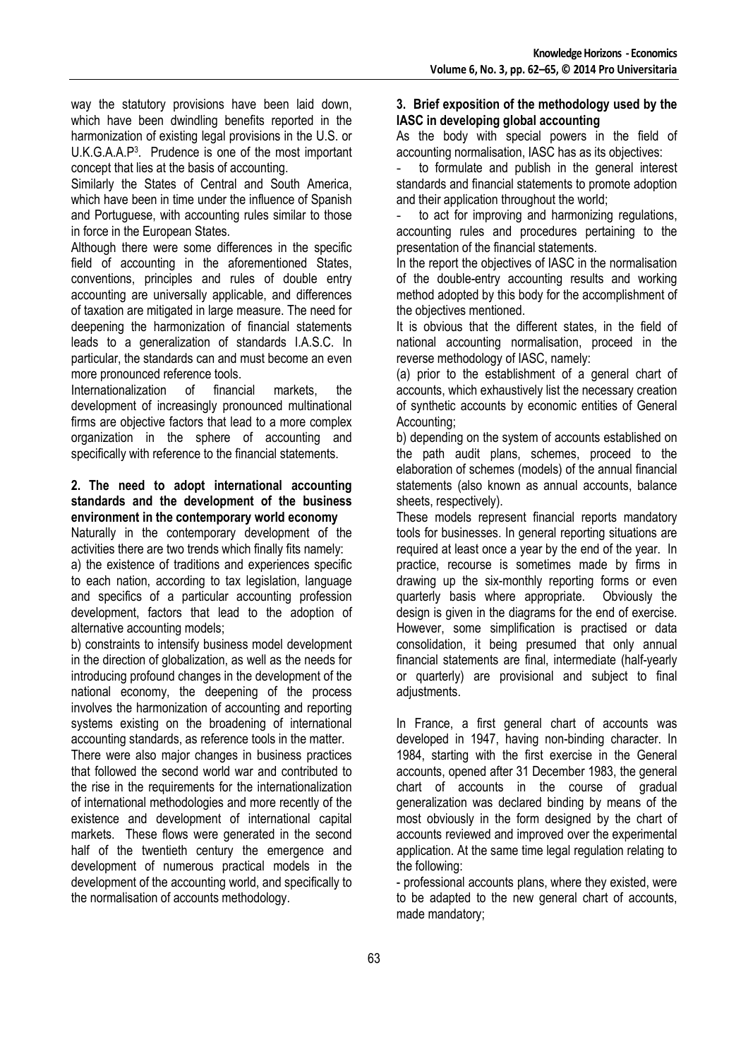way the statutory provisions have been laid down, which have been dwindling benefits reported in the harmonization of existing legal provisions in the U.S. or U.K.G.A.A.P<sup>3</sup> . Prudence is one of the most important concept that lies at the basis of accounting.

Similarly the States of Central and South America, which have been in time under the influence of Spanish and Portuguese, with accounting rules similar to those in force in the European States.

Although there were some differences in the specific field of accounting in the aforementioned States, conventions, principles and rules of double entry accounting are universally applicable, and differences of taxation are mitigated in large measure. The need for deepening the harmonization of financial statements leads to a generalization of standards I.A.S.C. In particular, the standards can and must become an even more pronounced reference tools.

Internationalization of financial markets, the development of increasingly pronounced multinational firms are objective factors that lead to a more complex organization in the sphere of accounting and specifically with reference to the financial statements.

#### **2. The need to adopt international accounting standards and the development of the business environment in the contemporary world economy**

Naturally in the contemporary development of the activities there are two trends which finally fits namely:

a) the existence of traditions and experiences specific to each nation, according to tax legislation, language and specifics of a particular accounting profession development, factors that lead to the adoption of alternative accounting models;

b) constraints to intensify business model development in the direction of globalization, as well as the needs for introducing profound changes in the development of the national economy, the deepening of the process involves the harmonization of accounting and reporting systems existing on the broadening of international accounting standards, as reference tools in the matter.

There were also major changes in business practices that followed the second world war and contributed to the rise in the requirements for the internationalization of international methodologies and more recently of the existence and development of international capital markets. These flows were generated in the second half of the twentieth century the emergence and development of numerous practical models in the development of the accounting world, and specifically to the normalisation of accounts methodology.

#### **3. Brief exposition of the methodology used by the IASC in developing global accounting**

As the body with special powers in the field of accounting normalisation, IASC has as its objectives:

to formulate and publish in the general interest standards and financial statements to promote adoption and their application throughout the world;

to act for improving and harmonizing regulations. accounting rules and procedures pertaining to the presentation of the financial statements.

In the report the objectives of IASC in the normalisation of the double-entry accounting results and working method adopted by this body for the accomplishment of the objectives mentioned.

It is obvious that the different states, in the field of national accounting normalisation, proceed in the reverse methodology of IASC, namely:

(a) prior to the establishment of a general chart of accounts, which exhaustively list the necessary creation of synthetic accounts by economic entities of General Accounting;

b) depending on the system of accounts established on the path audit plans, schemes, proceed to the elaboration of schemes (models) of the annual financial statements (also known as annual accounts, balance sheets, respectively).

These models represent financial reports mandatory tools for businesses. In general reporting situations are required at least once a year by the end of the year. In practice, recourse is sometimes made by firms in drawing up the six-monthly reporting forms or even quarterly basis where appropriate. Obviously the design is given in the diagrams for the end of exercise. However, some simplification is practised or data consolidation, it being presumed that only annual financial statements are final, intermediate (half-yearly or quarterly) are provisional and subject to final adjustments.

In France, a first general chart of accounts was developed in 1947, having non-binding character. In 1984, starting with the first exercise in the General accounts, opened after 31 December 1983, the general chart of accounts in the course of gradual generalization was declared binding by means of the most obviously in the form designed by the chart of accounts reviewed and improved over the experimental application. At the same time legal regulation relating to the following:

- professional accounts plans, where they existed, were to be adapted to the new general chart of accounts, made mandatory;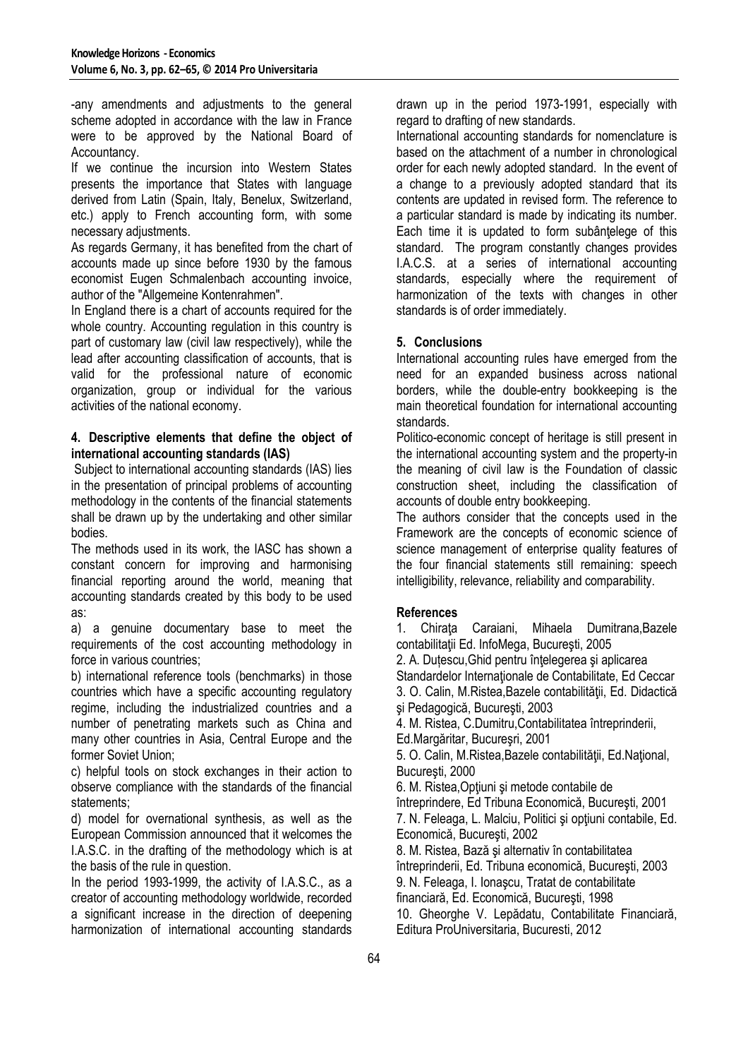-any amendments and adjustments to the general scheme adopted in accordance with the law in France were to be approved by the National Board of Accountancy.

If we continue the incursion into Western States presents the importance that States with language derived from Latin (Spain, Italy, Benelux, Switzerland, etc.) apply to French accounting form, with some necessary adjustments.

As regards Germany, it has benefited from the chart of accounts made up since before 1930 by the famous economist Eugen Schmalenbach accounting invoice, author of the "Allgemeine Kontenrahmen".

In England there is a chart of accounts required for the whole country. Accounting regulation in this country is part of customary law (civil law respectively), while the lead after accounting classification of accounts, that is valid for the professional nature of economic organization, group or individual for the various activities of the national economy.

### **4. Descriptive elements that define the object of international accounting standards (IAS)**

 Subject to international accounting standards (IAS) lies in the presentation of principal problems of accounting methodology in the contents of the financial statements shall be drawn up by the undertaking and other similar bodies.

The methods used in its work, the IASC has shown a constant concern for improving and harmonising financial reporting around the world, meaning that accounting standards created by this body to be used as:

a) a genuine documentary base to meet the requirements of the cost accounting methodology in force in various countries;

b) international reference tools (benchmarks) in those countries which have a specific accounting regulatory regime, including the industrialized countries and a number of penetrating markets such as China and many other countries in Asia, Central Europe and the former Soviet Union;

c) helpful tools on stock exchanges in their action to observe compliance with the standards of the financial statements;

d) model for overnational synthesis, as well as the European Commission announced that it welcomes the I.A.S.C. in the drafting of the methodology which is at the basis of the rule in question.

In the period 1993-1999, the activity of I.A.S.C., as a creator of accounting methodology worldwide, recorded a significant increase in the direction of deepening harmonization of international accounting standards

drawn up in the period 1973-1991, especially with regard to drafting of new standards.

International accounting standards for nomenclature is based on the attachment of a number in chronological order for each newly adopted standard. In the event of a change to a previously adopted standard that its contents are updated in revised form. The reference to a particular standard is made by indicating its number. Each time it is updated to form subântelege of this standard. The program constantly changes provides I.A.C.S. at a series of international accounting standards, especially where the requirement of harmonization of the texts with changes in other standards is of order immediately.

## **5. Conclusions**

International accounting rules have emerged from the need for an expanded business across national borders, while the double-entry bookkeeping is the main theoretical foundation for international accounting standards.

Politico-economic concept of heritage is still present in the international accounting system and the property-in the meaning of civil law is the Foundation of classic construction sheet, including the classification of accounts of double entry bookkeeping.

The authors consider that the concepts used in the Framework are the concepts of economic science of science management of enterprise quality features of the four financial statements still remaining: speech intelligibility, relevance, reliability and comparability.

## **References**

1. Chirata Caraiani, Mihaela Dumitrana, Bazele contabilitații Ed. InfoMega, București, 2005 2. A. Dutescu, Ghid pentru întelegerea și aplicarea Standardelor Internationale de Contabilitate, Ed Ceccar 3. O. Calin, M.Ristea,Bazele contabilităţii, Ed. Didactică şi Pedagogică, Bucureşti, 2003 4. M. Ristea, C.Dumitru,Contabilitatea întreprinderii, Ed.Margăritar, Bucureşri, 2001 5. O. Calin, M.Ristea, Bazele contabilității, Ed.Național, Bucureşti, 2000 6. M. Ristea,Opţiuni şi metode contabile de întreprindere, Ed Tribuna Economică, Bucureşti, 2001 7. N. Feleaga, L. Malciu, Politici şi opţiuni contabile, Ed. Economică, Bucureşti, 2002 8. M. Ristea, Bază și alternativ în contabilitatea întreprinderii, Ed. Tribuna economică, Bucureşti, 2003 9. N. Feleaga, I. Ionaşcu, Tratat de contabilitate financiară, Ed. Economică, Bucureşti, 1998 10. Gheorghe V. Lepădatu, Contabilitate Financiară, Editura ProUniversitaria, Bucuresti, 2012